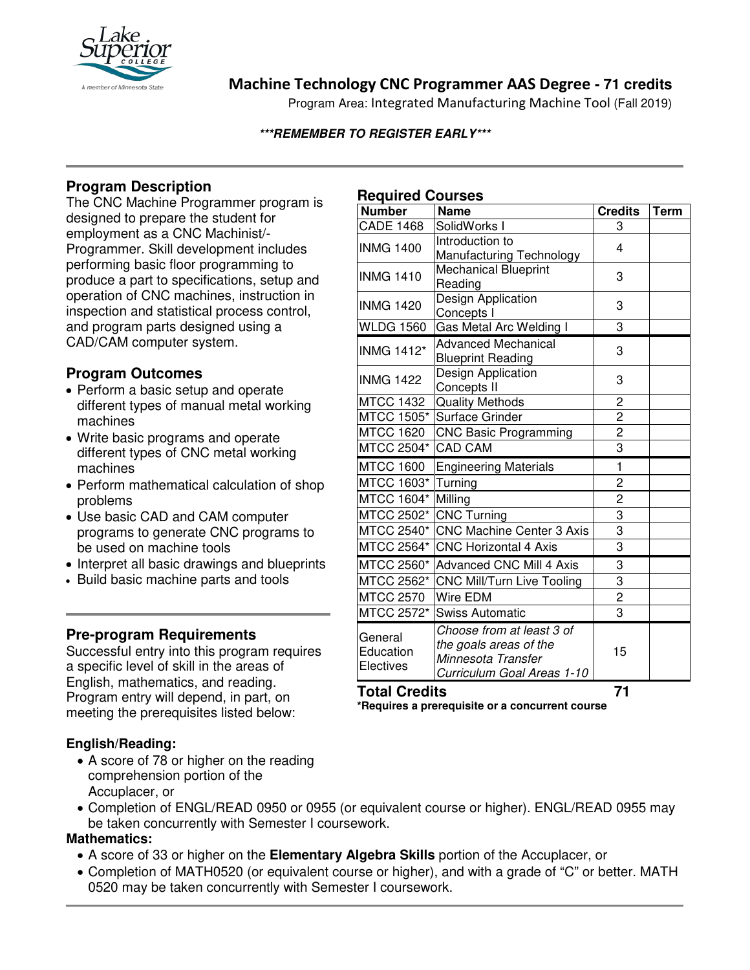

## **Machine Technology CNC Programmer AAS Degree - 71 credits**

Program Area: Integrated Manufacturing Machine Tool (Fall 2019)

#### **\*\*\*REMEMBER TO REGISTER EARLY\*\*\***

## **Program Description**

The CNC Machine Programmer program is designed to prepare the student for employment as a CNC Machinist/- Programmer. Skill development includes performing basic floor programming to produce a part to specifications, setup and operation of CNC machines, instruction in inspection and statistical process control, and program parts designed using a CAD/CAM computer system.

### **Program Outcomes**

- Perform a basic setup and operate different types of manual metal working machines
- Write basic programs and operate different types of CNC metal working machines
- Perform mathematical calculation of shop problems
- Use basic CAD and CAM computer programs to generate CNC programs to be used on machine tools
- Interpret all basic drawings and blueprints
- Build basic machine parts and tools

## **Pre-program Requirements**

Successful entry into this program requires a specific level of skill in the areas of English, mathematics, and reading. Program entry will depend, in part, on meeting the prerequisites listed below:

### **English/Reading:**

- A score of 78 or higher on the reading comprehension portion of the Accuplacer, or
- Completion of ENGL/READ 0950 or 0955 (or equivalent course or higher). ENGL/READ 0955 may be taken concurrently with Semester I coursework.

### **Mathematics:**

- A score of 33 or higher on the **Elementary Algebra Skills** portion of the Accuplacer, or
- Completion of MATH0520 (or equivalent course or higher), and with a grade of "C" or better. MATH 0520 may be taken concurrently with Semester I coursework.

## **Required Courses**

| . . <del>.</del><br><b>Number</b> | <b>Name</b>                                                                                             | <b>Credits</b> | <b>Term</b> |
|-----------------------------------|---------------------------------------------------------------------------------------------------------|----------------|-------------|
| <b>CADE 1468</b>                  | SolidWorks I                                                                                            | 3              |             |
| <b>INMG 1400</b>                  | Introduction to<br>Manufacturing Technology                                                             | 4              |             |
| <b>INMG 1410</b>                  | <b>Mechanical Blueprint</b><br>Reading                                                                  | 3              |             |
| <b>INMG 1420</b>                  | Design Application<br>Concepts I                                                                        | 3              |             |
| <b>WLDG 1560</b>                  | Gas Metal Arc Welding I                                                                                 | 3              |             |
| <b>INMG 1412*</b>                 | <b>Advanced Mechanical</b><br><b>Blueprint Reading</b>                                                  | 3              |             |
| <b>INMG 1422</b>                  | Design Application<br>Concepts II                                                                       | 3              |             |
| <b>MTCC 1432</b>                  | <b>Quality Methods</b>                                                                                  | $\overline{c}$ |             |
| <b>MTCC 1505*</b>                 | Surface Grinder                                                                                         | $\overline{2}$ |             |
| <b>MTCC 1620</b>                  | <b>CNC Basic Programming</b>                                                                            | $\overline{c}$ |             |
| MTCC 2504*                        | <b>CAD CAM</b>                                                                                          | 3              |             |
| <b>MTCC 1600</b>                  | <b>Engineering Materials</b>                                                                            | $\mathbf{1}$   |             |
| MTCC 1603*                        | Turning                                                                                                 | $\overline{c}$ |             |
| MTCC 1604*                        | Milling                                                                                                 | $\overline{c}$ |             |
| MTCC 2502*                        | <b>CNC Turning</b>                                                                                      | 3              |             |
| MTCC 2540*                        | <b>CNC Machine Center 3 Axis</b>                                                                        | 3              |             |
| MTCC 2564*                        | <b>CNC Horizontal 4 Axis</b>                                                                            | 3              |             |
| MTCC 2560*                        | Advanced CNC Mill 4 Axis                                                                                | 3              |             |
| MTCC 2562*                        | <b>CNC Mill/Turn Live Tooling</b>                                                                       | $\overline{3}$ |             |
| <b>MTCC 2570</b>                  | Wire EDM                                                                                                | $\overline{2}$ |             |
| MTCC 2572*                        | <b>Swiss Automatic</b>                                                                                  | $\overline{3}$ |             |
| General<br>Education<br>Electives | Choose from at least 3 of<br>the goals areas of the<br>Minnesota Transfer<br>Curriculum Goal Areas 1-10 | 15             |             |

#### **Total Credits 71 \*Requires a prerequisite or a concurrent course**